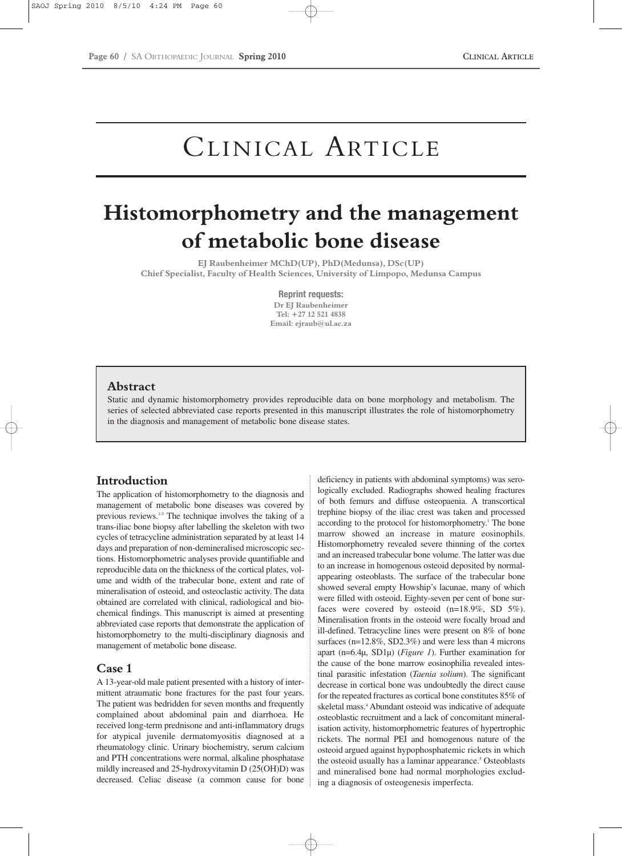# CLINICAL ARTICLE

# **Histomorphometry and the management of metabolic bone disease**

**EJ Raubenheimer MChD(UP), PhD(Medunsa), DSc(UP) Chief Specialist, Faculty of Health Sciences, University of Limpopo, Medunsa Campus**

> **Reprint requests: Dr EJ Raubenheimer Tel: +27 12 521 4838 Email: ejraub@ul.ac.za**

#### **Abstract**

Static and dynamic histomorphometry provides reproducible data on bone morphology and metabolism. The series of selected abbreviated case reports presented in this manuscript illustrates the role of histomorphometry in the diagnosis and management of metabolic bone disease states.

# **Introduction**

The application of histomorphometry to the diagnosis and management of metabolic bone diseases was covered by previous reviews.1-3 The technique involves the taking of a trans-iliac bone biopsy after labelling the skeleton with two cycles of tetracycline administration separated by at least 14 days and preparation of non-demineralised microscopic sections. Histomorphometric analyses provide quantifiable and reproducible data on the thickness of the cortical plates, volume and width of the trabecular bone, extent and rate of mineralisation of osteoid, and osteoclastic activity. The data obtained are correlated with clinical, radiological and biochemical findings. This manuscript is aimed at presenting abbreviated case reports that demonstrate the application of histomorphometry to the multi-disciplinary diagnosis and management of metabolic bone disease.

## **Case 1**

A 13-year-old male patient presented with a history of intermittent atraumatic bone fractures for the past four years. The patient was bedridden for seven months and frequently complained about abdominal pain and diarrhoea. He received long-term prednisone and anti-inflammatory drugs for atypical juvenile dermatomyositis diagnosed at a rheumatology clinic. Urinary biochemistry, serum calcium and PTH concentrations were normal, alkaline phosphatase mildly increased and 25-hydroxyvitamin D (25(OH)D) was decreased. Celiac disease (a common cause for bone

deficiency in patients with abdominal symptoms) was serologically excluded. Radiographs showed healing fractures of both femurs and diffuse osteopaenia. A transcortical trephine biopsy of the iliac crest was taken and processed according to the protocol for histomorphometry.<sup>1</sup> The bone marrow showed an increase in mature eosinophils. Histomorphometry revealed severe thinning of the cortex and an increased trabecular bone volume. The latter was due to an increase in homogenous osteoid deposited by normalappearing osteoblasts. The surface of the trabecular bone showed several empty Howship's lacunae, many of which were filled with osteoid. Eighty-seven per cent of bone surfaces were covered by osteoid (n=18.9%, SD 5%). Mineralisation fronts in the osteoid were focally broad and ill-defined. Tetracycline lines were present on 8% of bone surfaces (n=12.8%, SD2.3%) and were less than 4 microns apart (n=6.4µ, SD1µ) (*Figure 1*). Further examination for the cause of the bone marrow eosinophilia revealed intestinal parasitic infestation (*Taenia solium*). The significant decrease in cortical bone was undoubtedly the direct cause for the repeated fractures as cortical bone constitutes 85% of skeletal mass.<sup>4</sup> Abundant osteoid was indicative of adequate osteoblastic recruitment and a lack of concomitant mineralisation activity, histomorphometric features of hypertrophic rickets. The normal PEI and homogenous nature of the osteoid argued against hypophosphatemic rickets in which the osteoid usually has a laminar appearance.<sup>5</sup> Osteoblasts and mineralised bone had normal morphologies excluding a diagnosis of osteogenesis imperfecta.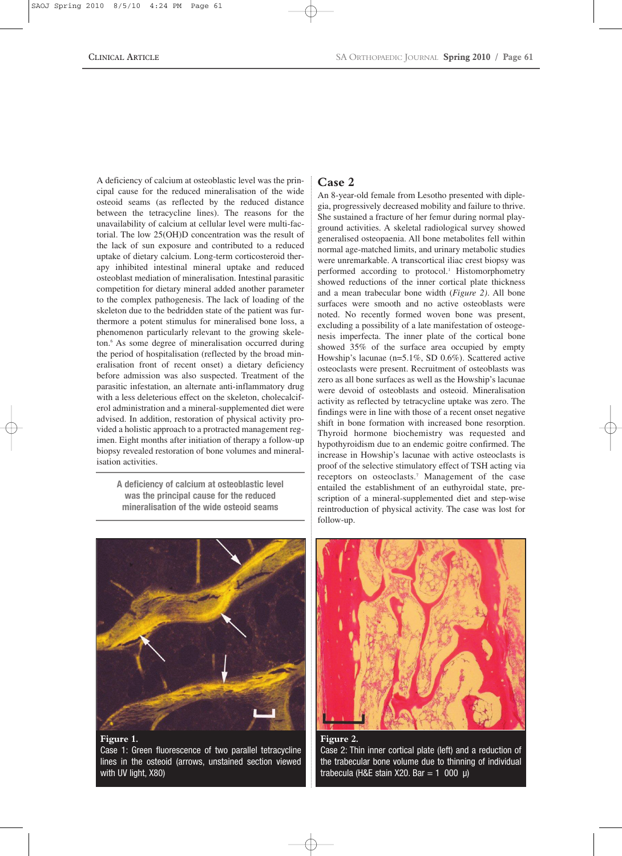A deficiency of calcium at osteoblastic level was the principal cause for the reduced mineralisation of the wide osteoid seams (as reflected by the reduced distance between the tetracycline lines). The reasons for the unavailability of calcium at cellular level were multi-factorial. The low 25(OH)D concentration was the result of the lack of sun exposure and contributed to a reduced uptake of dietary calcium. Long-term corticosteroid therapy inhibited intestinal mineral uptake and reduced osteoblast mediation of mineralisation. Intestinal parasitic competition for dietary mineral added another parameter to the complex pathogenesis. The lack of loading of the skeleton due to the bedridden state of the patient was furthermore a potent stimulus for mineralised bone loss, a phenomenon particularly relevant to the growing skeleton.6 As some degree of mineralisation occurred during the period of hospitalisation (reflected by the broad mineralisation front of recent onset) a dietary deficiency before admission was also suspected. Treatment of the parasitic infestation, an alternate anti-inflammatory drug with a less deleterious effect on the skeleton, cholecalciferol administration and a mineral-supplemented diet were advised. In addition, restoration of physical activity provided a holistic approach to a protracted management regimen. Eight months after initiation of therapy a follow-up biopsy revealed restoration of bone volumes and mineralisation activities.

**A deficiency of calcium at osteoblastic level was the principal cause for the reduced mineralisation of the wide osteoid seams**



Case 1: Green fluorescence of two parallel tetracycline lines in the osteoid (arrows, unstained section viewed with UV light, X80)

# **Case 2**

An 8-year-old female from Lesotho presented with diplegia, progressively decreased mobility and failure to thrive. She sustained a fracture of her femur during normal playground activities. A skeletal radiological survey showed generalised osteopaenia. All bone metabolites fell within normal age-matched limits, and urinary metabolic studies were unremarkable. A transcortical iliac crest biopsy was performed according to protocol.<sup>1</sup> Histomorphometry showed reductions of the inner cortical plate thickness and a mean trabecular bone width (*Figure 2)*. All bone surfaces were smooth and no active osteoblasts were noted. No recently formed woven bone was present, excluding a possibility of a late manifestation of osteogenesis imperfecta. The inner plate of the cortical bone showed 35% of the surface area occupied by empty Howship's lacunae (n=5.1%, SD 0.6%). Scattered active osteoclasts were present. Recruitment of osteoblasts was zero as all bone surfaces as well as the Howship's lacunae were devoid of osteoblasts and osteoid. Mineralisation activity as reflected by tetracycline uptake was zero. The findings were in line with those of a recent onset negative shift in bone formation with increased bone resorption. Thyroid hormone biochemistry was requested and hypothyroidism due to an endemic goitre confirmed. The increase in Howship's lacunae with active osteoclasts is proof of the selective stimulatory effect of TSH acting via receptors on osteoclasts.7 Management of the case entailed the establishment of an euthyroidal state, prescription of a mineral-supplemented diet and step-wise reintroduction of physical activity. The case was lost for follow-up.



**Figure 2.**  Case 2: Thin inner cortical plate (left) and a reduction of the trabecular bone volume due to thinning of individual trabecula (H&E stain X20. Bar = 1 000  $\mu$ )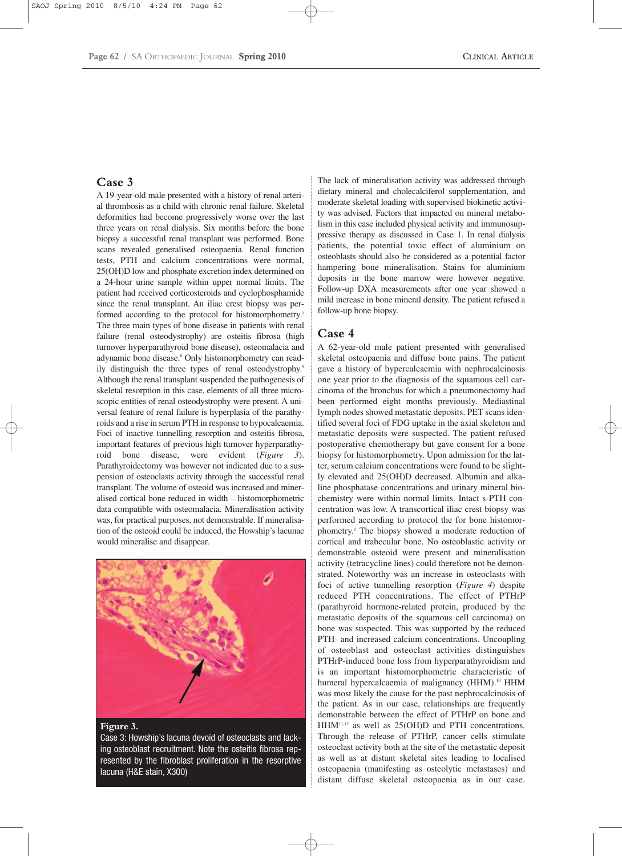# **Case 3**

A 19-year-old male presented with a history of renal arterial thrombosis as a child with chronic renal failure. Skeletal deformities had become progressively worse over the last three years on renal dialysis. Six months before the bone biopsy a successful renal transplant was performed. Bone scans revealed generalised osteopaenia. Renal function tests, PTH and calcium concentrations were normal, 25(OH)D low and phosphate excretion index determined on a 24-hour urine sample within upper normal limits. The patient had received corticosteroids and cyclophosphamide since the renal transplant. An iliac crest biopsy was performed according to the protocol for histomorphometry.<sup>1</sup> The three main types of bone disease in patients with renal failure (renal osteodystrophy) are osteitis fibrosa (high turnover hyperparathyroid bone disease), osteomalacia and adynamic bone disease.<sup>8</sup> Only histomorphometry can readily distinguish the three types of renal osteodystrophy.<sup>9</sup> Although the renal transplant suspended the pathogenesis of skeletal resorption in this case, elements of all three microscopic entities of renal osteodystrophy were present. A universal feature of renal failure is hyperplasia of the parathyroids and a rise in serum PTH in response to hypocalcaemia. Foci of inactive tunnelling resorption and osteitis fibrosa, important features of previous high turnover hyperparathyroid bone disease, were evident (*Figure 3*). Parathyroidectomy was however not indicated due to a suspension of osteoclasts activity through the successful renal transplant. The volume of osteoid was increased and mineralised cortical bone reduced in width – histomorphometric data compatible with osteomalacia. Mineralisation activity was, for practical purposes, not demonstrable. If mineralisation of the osteoid could be induced, the Howship's lacunae would mineralise and disappear.



#### **Figure 3.**

Case 3: Howship's lacuna devoid of osteoclasts and lacking osteoblast recruitment. Note the osteitis fibrosa represented by the fibroblast proliferation in the resorptive lacuna (H&E stain, X300)

The lack of mineralisation activity was addressed through dietary mineral and cholecalciferol supplementation, and moderate skeletal loading with supervised biokinetic activity was advised. Factors that impacted on mineral metabolism in this case included physical activity and immunosuppressive therapy as discussed in Case 1. In renal dialysis patients, the potential toxic effect of aluminium on osteoblasts should also be considered as a potential factor hampering bone mineralisation. Stains for aluminium deposits in the bone marrow were however negative. Follow-up DXA measurements after one year showed a mild increase in bone mineral density. The patient refused a follow-up bone biopsy.

## **Case 4**

A 62-year-old male patient presented with generalised skeletal osteopaenia and diffuse bone pains. The patient gave a history of hypercalcaemia with nephrocalcinosis one year prior to the diagnosis of the squamous cell carcinoma of the bronchus for which a pneumonectomy had been performed eight months previously. Mediastinal lymph nodes showed metastatic deposits. PET scans identified several foci of FDG uptake in the axial skeleton and metastatic deposits were suspected. The patient refused postoperative chemotherapy but gave consent for a bone biopsy for histomorphometry. Upon admission for the latter, serum calcium concentrations were found to be slightly elevated and 25(OH)D decreased. Albumin and alkaline phosphatase concentrations and urinary mineral biochemistry were within normal limits. Intact s-PTH concentration was low. A transcortical iliac crest biopsy was performed according to protocol the for bone histomorphometry.1 The biopsy showed a moderate reduction of cortical and trabecular bone. No osteoblastic activity or demonstrable osteoid were present and mineralisation activity (tetracycline lines) could therefore not be demonstrated. Noteworthy was an increase in osteoclasts with foci of active tunnelling resorption (*Figure 4*) despite reduced PTH concentrations. The effect of PTHrP (parathyroid hormone-related protein, produced by the metastatic deposits of the squamous cell carcinoma) on bone was suspected. This was supported by the reduced PTH- and increased calcium concentrations. Uncoupling of osteoblast and osteoclast activities distinguishes PTHrP-induced bone loss from hyperparathyroidism and is an important histomorphometric characteristic of humeral hypercalcaemia of malignancy (HHM).<sup>10</sup> HHM was most likely the cause for the past nephrocalcinosis of the patient. As in our case, relationships are frequently demonstrable between the effect of PTHrP on bone and HHM11,12 as well as 25(OH)D and PTH concentrations. Through the release of PTHrP, cancer cells stimulate osteoclast activity both at the site of the metastatic deposit as well as at distant skeletal sites leading to localised osteopaenia (manifesting as osteolytic metastases) and distant diffuse skeletal osteopaenia as in our case.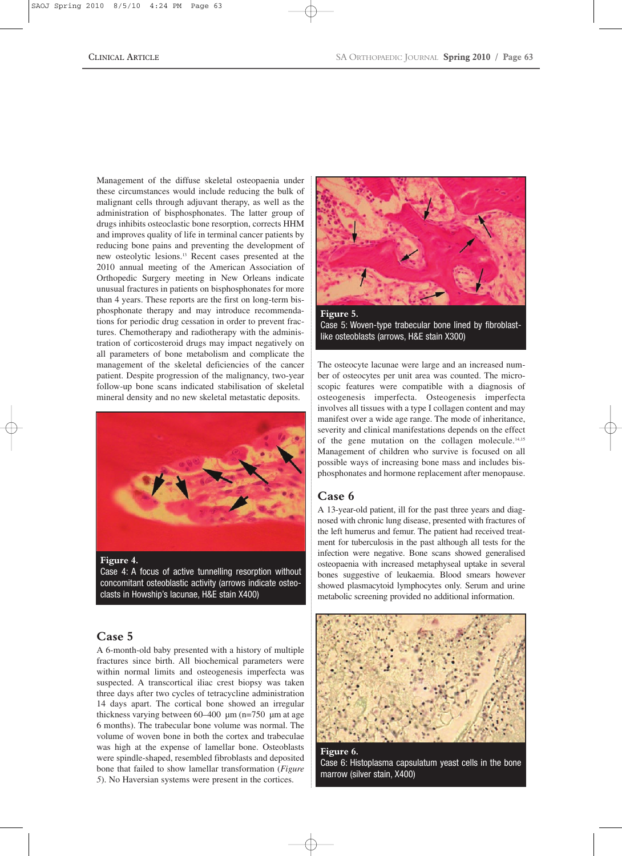Management of the diffuse skeletal osteopaenia under these circumstances would include reducing the bulk of malignant cells through adjuvant therapy, as well as the administration of bisphosphonates. The latter group of drugs inhibits osteoclastic bone resorption, corrects HHM and improves quality of life in terminal cancer patients by reducing bone pains and preventing the development of new osteolytic lesions.13 Recent cases presented at the 2010 annual meeting of the American Association of Orthopedic Surgery meeting in New Orleans indicate unusual fractures in patients on bisphosphonates for more than 4 years. These reports are the first on long-term bisphosphonate therapy and may introduce recommendations for periodic drug cessation in order to prevent fractures. Chemotherapy and radiotherapy with the administration of corticosteroid drugs may impact negatively on all parameters of bone metabolism and complicate the management of the skeletal deficiencies of the cancer patient. Despite progression of the malignancy, two-year follow-up bone scans indicated stabilisation of skeletal mineral density and no new skeletal metastatic deposits.



Case 4: A focus of active tunnelling resorption without concomitant osteoblastic activity (arrows indicate osteoclasts in Howship's lacunae, H&E stain X400)

# **Case 5**

A 6-month-old baby presented with a history of multiple fractures since birth. All biochemical parameters were within normal limits and osteogenesis imperfecta was suspected. A transcortical iliac crest biopsy was taken three days after two cycles of tetracycline administration 14 days apart. The cortical bone showed an irregular thickness varying between  $60-400 \mu m (n=750 \mu m)$  at age 6 months). The trabecular bone volume was normal. The volume of woven bone in both the cortex and trabeculae was high at the expense of lamellar bone. Osteoblasts were spindle-shaped, resembled fibroblasts and deposited bone that failed to show lamellar transformation (*Figure 5*). No Haversian systems were present in the cortices.



Case 5: Woven-type trabecular bone lined by fibroblastlike osteoblasts (arrows, H&E stain X300)

The osteocyte lacunae were large and an increased number of osteocytes per unit area was counted. The microscopic features were compatible with a diagnosis of osteogenesis imperfecta. Osteogenesis imperfecta involves all tissues with a type I collagen content and may manifest over a wide age range. The mode of inheritance, severity and clinical manifestations depends on the effect of the gene mutation on the collagen molecule.14,15 Management of children who survive is focused on all possible ways of increasing bone mass and includes bisphosphonates and hormone replacement after menopause.

#### **Case 6**

A 13-year-old patient, ill for the past three years and diagnosed with chronic lung disease, presented with fractures of the left humerus and femur. The patient had received treatment for tuberculosis in the past although all tests for the infection were negative. Bone scans showed generalised osteopaenia with increased metaphyseal uptake in several bones suggestive of leukaemia. Blood smears however showed plasmacytoid lymphocytes only. Serum and urine metabolic screening provided no additional information.



**Figure 6.**  Case 6: Histoplasma capsulatum yeast cells in the bone marrow (silver stain, X400)